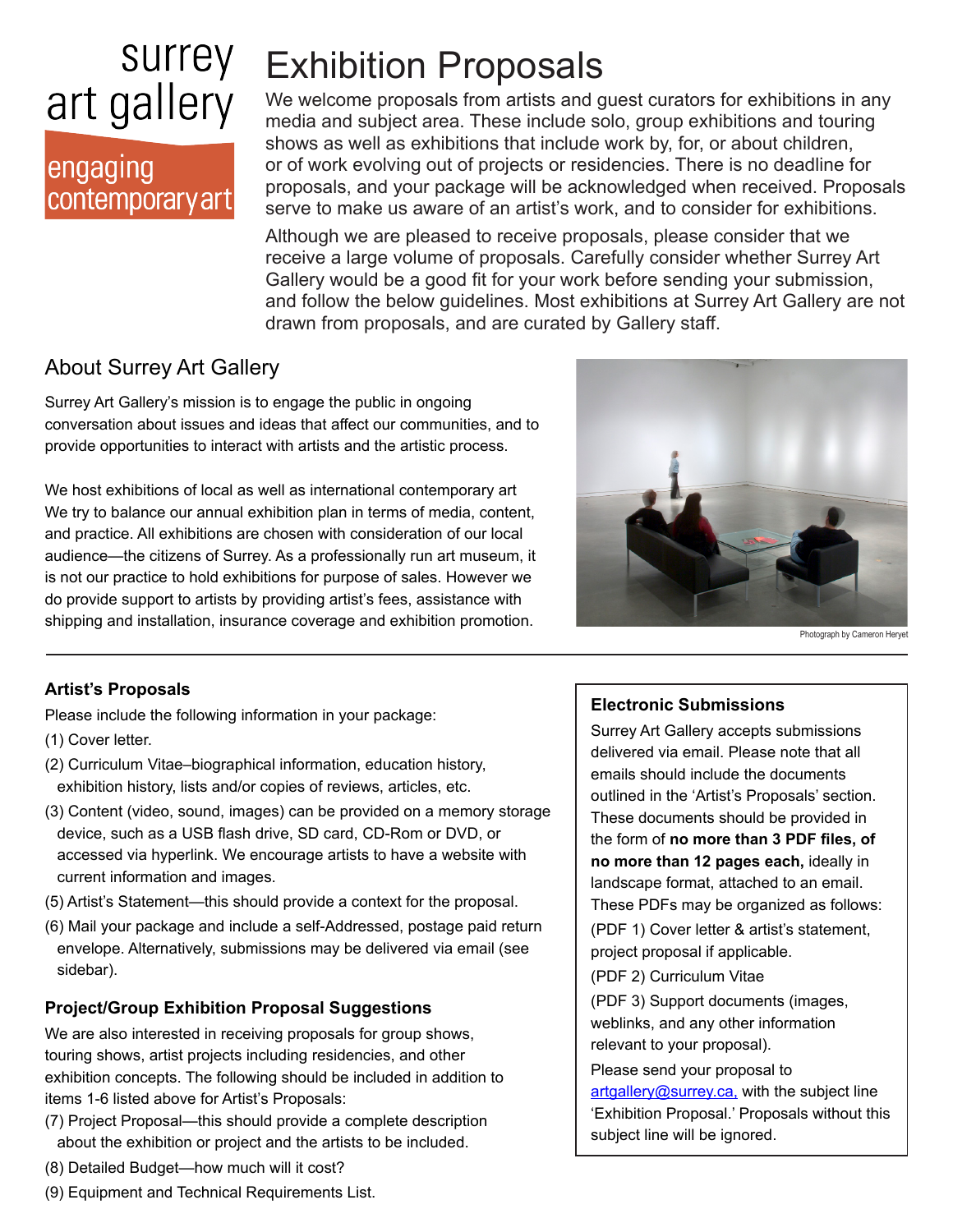# surrey art gallery

## engaging contemporary art

# Exhibition Proposals

We welcome proposals from artists and guest curators for exhibitions in any media and subject area. These include solo, group exhibitions and touring shows as well as exhibitions that include work by, for, or about children, or of work evolving out of projects or residencies. There is no deadline for proposals, and your package will be acknowledged when received. Proposals serve to make us aware of an artist's work, and to consider for exhibitions.

Although we are pleased to receive proposals, please consider that we receive a large volume of proposals. Carefully consider whether Surrey Art Gallery would be a good fit for your work before sending your submission, and follow the below guidelines. Most exhibitions at Surrey Art Gallery are not drawn from proposals, and are curated by Gallery staff.

## About Surrey Art Gallery

Surrey Art Gallery's mission is to engage the public in ongoing conversation about issues and ideas that affect our communities, and to provide opportunities to interact with artists and the artistic process.

We host exhibitions of local as well as international contemporary art We try to balance our annual exhibition plan in terms of media, content, and practice. All exhibitions are chosen with consideration of our local audience—the citizens of Surrey. As a professionally run art museum, it is not our practice to hold exhibitions for purpose of sales. However we do provide support to artists by providing artist's fees, assistance with shipping and installation, insurance coverage and exhibition promotion.



Photograph by Cameron Heryet

### **Artist's Proposals**

Please include the following information in your package:

- (1) Cover letter.
- (2) Curriculum Vitae–biographical information, education history, exhibition history, lists and/or copies of reviews, articles, etc.
- (3) Content (video, sound, images) can be provided on a memory storage device, such as a USB flash drive, SD card, CD-Rom or DVD, or accessed via hyperlink. We encourage artists to have a website with current information and images.
- (5) Artist's Statement—this should provide a context for the proposal.
- (6) Mail your package and include a self-Addressed, postage paid return envelope. Alternatively, submissions may be delivered via email (see sidebar).

### **Project/Group Exhibition Proposal Suggestions**

We are also interested in receiving proposals for group shows, touring shows, artist projects including residencies, and other exhibition concepts. The following should be included in addition to items 1-6 listed above for Artist's Proposals:

- (7) Project Proposal—this should provide a complete description about the exhibition or project and the artists to be included.
- (8) Detailed Budget—how much will it cost?

### **Electronic Submissions**

Surrey Art Gallery accepts submissions delivered via email. Please note that all emails should include the documents outlined in the 'Artist's Proposals' section. These documents should be provided in the form of **no more than 3 PDF files, of no more than 12 pages each,** ideally in landscape format, attached to an email. These PDFs may be organized as follows:

(PDF 1) Cover letter & artist's statement, project proposal if applicable.

(PDF 2) Curriculum Vitae

(PDF 3) Support documents (images, weblinks, and any other information relevant to your proposal).

Please send your proposal to artgallery@surrey.ca, with the subject line 'Exhibition Proposal.' Proposals without this subject line will be ignored.

(9) Equipment and Technical Requirements List.